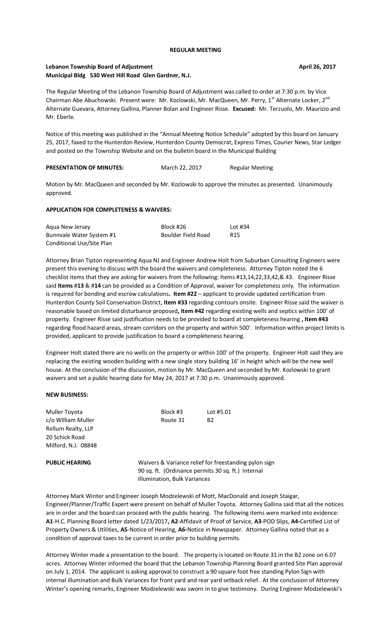#### **Lebanon Township Board of Adjustment April 26, 2017 Municipal Bldg 530 West Hill Road Glen Gardner, N.J.**

The Regular Meeting of the Lebanon Township Board of Adjustment was called to order at 7:30 p.m. by Vice Chairman Abe Abuchowski. Present were: Mr. Kozlowski, Mr. MacQueen, Mr. Perry, 1<sup>st</sup> Alternate Locker, 2<sup>nd</sup> Alternate Guevara, Attorney Gallina, Planner Bolan and Engineer Risse. **Excused:** Mr. Terzuolo, Mr. Maurizio and Mr. Eberle.

Notice of this meeting was published in the "Annual Meeting Notice Schedule" adopted by this board on January 25, 2017, faxed to the Hunterdon Review, Hunterdon County Democrat, Express Times, Courier News, Star Ledger and posted on the Township Website and on the bulletin board in the Municipal Building

| <b>PRESENTATION OF MINUTES:</b> | March 22, 2017 | Regular Meeting |
|---------------------------------|----------------|-----------------|
|                                 |                |                 |

Motion by Mr. MacQueen and seconded by Mr. Kozlowski to approve the minutes as presented. Unanimously approved.

#### **APPLICATION FOR COMPLETENESS & WAIVERS:**

| Agua New Jersey           | Block #26          | Lot $#34$       |
|---------------------------|--------------------|-----------------|
| Bunnvale Water System #1  | Boulder Field Road | R <sub>15</sub> |
| Conditional Use/Site Plan |                    |                 |

Attorney Brian Tipton representing Aqua NJ and Engineer Andrew Holt from Suburban Consulting Engineers were present this evening to discuss with the board the waivers and completeness. Attorney Tipton noted the 6 checklist items that they are asking for waivers from the following: Items #13,14,22,33,42,& 43. Engineer Risse said **Items** #**13** & #**14** can be provided as a Condition of Approval, waiver for completeness only. The information is required for bonding and escrow calculations**. Item #22** – applicant to provide updated certification from Hunterdon County Soil Conservation District, **Item #33** regarding contours onsite. Engineer Risse said the waiver is reasonable based on limited disturbance proposed**, Item #42** regarding existing wells and septics within 100' of property. Engineer Risse said justification needs to be provided to board at completeness hearing **, Item #43**  regarding flood hazard areas, stream corridors on the property and within 500'. Information within project limits is provided, applicant to provide justification to board a completeness hearing.

Engineer Holt stated there are no wells on the property or within 100' of the property. Engineer Holt said they are replacing the existing wooden building with a new single story building 16' in height which will be the new well house. At the conclusion of the discussion, motion by Mr. MacQueen and seconded by Mr. Kozlowski to grant waivers and set a public hearing date for May 24, 2017 at 7:30 p.m. Unanimously approved.

#### **NEW BUSINESS:**

| Muller Toyota         | Block #3                                                                                                                                    | Lot #5.01 |
|-----------------------|---------------------------------------------------------------------------------------------------------------------------------------------|-----------|
| c/o William Muller    | Route 31                                                                                                                                    | <b>B2</b> |
| Rellum Realty, LLP    |                                                                                                                                             |           |
| 20 Schick Road        |                                                                                                                                             |           |
| Milford, N.J. 08848   |                                                                                                                                             |           |
| <b>PUBLIC HEARING</b> | Waivers & Variance relief for freestanding pylon sign<br>90 sq. ft. (Ordinance permits 30 sq. ft.) Internal<br>Illumination, Bulk Variances |           |

Attorney Mark Winter and Engineer Joseph Modzelewski of Mott, MacDonald and Joseph Staigar, Engineer/Planner/Traffic Expert were present on behalf of Muller Toyota. Attorney Gallina said that all the notices are in order and the board can proceed with the public hearing. The following items were marked into evidence: **A1**-H.C. Planning Board letter dated 1/23/2017**, A2**-Affidavit of Proof of Service, **A3**-POD Slips, **A4-**Certified List of Property Owners & Utilities, **A5**-Notice of Hearing, **A6-**Notice in Newspaper. Attorney Gallina noted that as a condition of approval taxes to be current in order prior to building permits.

Attorney Winter made a presentation to the board. The property is located on Route 31 in the B2 zone on 6.07 acres. Attorney Winter informed the board that the Lebanon Township Planning Board granted Site Plan approval on July 1, 2014. The applicant is asking approval to construct a 90 square foot free standing Pylon Sign with internal illumination and Bulk Variances for front yard and rear yard setback relief. At the conclusion of Attorney Winter's opening remarks, Engineer Modzelewski was sworn in to give testimony. During Engineer Modzelewski's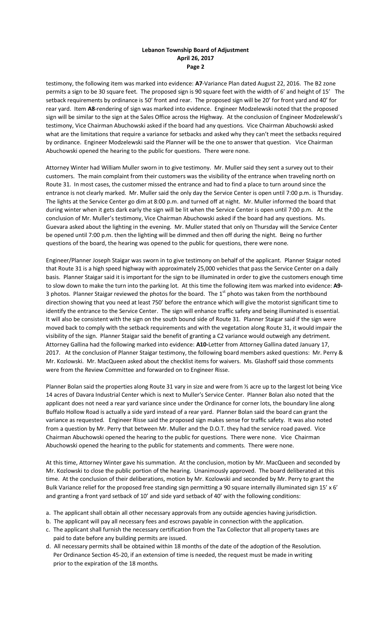testimony, the following item was marked into evidence: **A7**-Variance Plan dated August 22, 2016. The B2 zone permits a sign to be 30 square feet. The proposed sign is 90 square feet with the width of 6' and height of 15' The setback requirements by ordinance is 50' front and rear. The proposed sign will be 20' for front yard and 40' for rear yard. Item **A8**-rendering of sign was marked into evidence. Engineer Modzelewski noted that the proposed sign will be similar to the sign at the Sales Office across the Highway. At the conclusion of Engineer Modzelewski's testimony, Vice Chairman Abuchowski asked if the board had any questions. Vice Chairman Abuchowski asked what are the limitations that require a variance for setbacks and asked why they can't meet the setbacks required by ordinance. Engineer Modzelewski said the Planner will be the one to answer that question. Vice Chairman Abuchowski opened the hearing to the public for questions. There were none.

Attorney Winter had William Muller sworn in to give testimony. Mr. Muller said they sent a survey out to their customers. The main complaint from their customers was the visibility of the entrance when traveling north on Route 31. In most cases, the customer missed the entrance and had to find a place to turn around since the entrance is not clearly marked. Mr. Muller said the only day the Service Center is open until 7:00 p.m. is Thursday. The lights at the Service Center go dim at 8:00 p.m. and turned off at night. Mr. Muller informed the board that during winter when it gets dark early the sign will be lit when the Service Center is open until 7:00 p.m. At the conclusion of Mr. Muller's testimony, Vice Chairman Abuchowski asked if the board had any questions. Ms. Guevara asked about the lighting in the evening. Mr. Muller stated that only on Thursday will the Service Center be opened until 7:00 p.m. then the lighting will be dimmed and then off during the night. Being no further questions of the board, the hearing was opened to the public for questions, there were none.

Engineer/Planner Joseph Staigar was sworn in to give testimony on behalf of the applicant. Planner Staigar noted that Route 31 is a high speed highway with approximately 25,000 vehicles that pass the Service Center on a daily basis. Planner Staigar said it is important for the sign to be illuminated in order to give the customers enough time to slow down to make the turn into the parking lot. At this time the following item was marked into evidence: **A9-** 3 photos. Planner Staigar reviewed the photos for the board. The  $1<sup>st</sup>$  photo was taken from the northbound direction showing that you need at least 750' before the entrance which will give the motorist significant time to identify the entrance to the Service Center. The sign will enhance traffic safety and being illuminated is essential. It will also be consistent with the sign on the south bound side of Route 31. Planner Staigar said if the sign were moved back to comply with the setback requirements and with the vegetation along Route 31, it would impair the visibility of the sign. Planner Staigar said the benefit of granting a C2 variance would outweigh any detriment. Attorney Gallina had the following marked into evidence: **A10-**Letter from Attorney Gallina dated January 17, 2017. At the conclusion of Planner Staigar testimony, the following board members asked questions: Mr. Perry & Mr. Kozlowski. Mr. MacQueen asked about the checklist items for waivers. Ms. Glashoff said those comments were from the Review Committee and forwarded on to Engineer Risse.

Planner Bolan said the properties along Route 31 vary in size and were from ½ acre up to the largest lot being Vice 14 acres of Davara Industrial Center which is next to Muller's Service Center. Planner Bolan also noted that the applicant does not need a rear yard variance since under the Ordinance for corner lots, the boundary line along Buffalo Hollow Road is actually a side yard instead of a rear yard. Planner Bolan said the board can grant the variance as requested. Engineer Risse said the proposed sign makes sense for traffic safety. It was also noted from a question by Mr. Perry that between Mr. Muller and the D.O.T. they had the service road paved. Vice Chairman Abuchowski opened the hearing to the public for questions. There were none. Vice Chairman Abuchowski opened the hearing to the public for statements and comments. There were none.

At this time, Attorney Winter gave his summation. At the conclusion, motion by Mr. MacQueen and seconded by Mr. Kozlowski to close the public portion of the hearing. Unanimously approved. The board deliberated at this time. At the conclusion of their deliberations, motion by Mr. Kozlowski and seconded by Mr. Perry to grant the Bulk Variance relief for the proposed free standing sign permitting a 90 square internally illuminated sign 15' x 6' and granting a front yard setback of 10' and side yard setback of 40' with the following conditions:

- a. The applicant shall obtain all other necessary approvals from any outside agencies having jurisdiction.
- b. The applicant will pay all necessary fees and escrows payable in connection with the application.
- c. The applicant shall furnish the necessary certification from the Tax Collector that all property taxes are paid to date before any building permits are issued.
- d. All necessary permits shall be obtained within 18 months of the date of the adoption of the Resolution. Per Ordinance Section 45-20, if an extension of time is needed, the request must be made in writing prior to the expiration of the 18 months.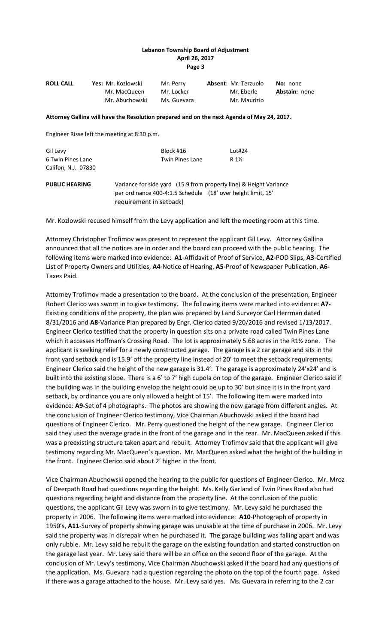| <b>ROLL CALL</b>                         | Yes: Mr. Kozlowski<br>Mr. MacQueen<br>Mr. Abuchowski                                                                                                          | Mr. Perry<br>Mr. Locker<br>Ms. Guevara | Absent: Mr. Terzuolo<br>Mr. Eberle<br>Mr. Maurizio | No: none<br>Abstain: none |
|------------------------------------------|---------------------------------------------------------------------------------------------------------------------------------------------------------------|----------------------------------------|----------------------------------------------------|---------------------------|
|                                          | Attorney Gallina will have the Resolution prepared and on the next Agenda of May 24, 2017.                                                                    |                                        |                                                    |                           |
|                                          | Engineer Risse left the meeting at 8:30 p.m.                                                                                                                  |                                        |                                                    |                           |
| Gil Levy                                 |                                                                                                                                                               | Block #16                              | Lot#24                                             |                           |
| 6 Twin Pines Lane<br>Califon, N.J. 07830 |                                                                                                                                                               | <b>Twin Pines Lane</b>                 | R 1½                                               |                           |
| <b>PUBLIC HEARING</b>                    | Variance for side yard (15.9 from property line) & Height Variance<br>per ordinance 400-4:1.5 Schedule (18' over height limit, 15'<br>requirement in setback) |                                        |                                                    |                           |

Mr. Kozlowski recused himself from the Levy application and left the meeting room at this time.

Attorney Christopher Trofimov was present to represent the applicant Gil Levy. Attorney Gallina announced that all the notices are in order and the board can proceed with the public hearing. The following items were marked into evidence: **A1**-Affidavit of Proof of Service, **A2-**POD Slips, **A3**-Certified List of Property Owners and Utilities, **A4**-Notice of Hearing, **A5-**Proof of Newspaper Publication, **A6-** Taxes Paid.

Attorney Trofimov made a presentation to the board. At the conclusion of the presentation, Engineer Robert Clerico was sworn in to give testimony. The following items were marked into evidence: **A7-** Existing conditions of the property, the plan was prepared by Land Surveyor Carl Herrman dated 8/31/2016 and **A8**-Variance Plan prepared by Engr. Clerico dated 9/20/2016 and revised 1/13/2017. Engineer Clerico testified that the property in question sits on a private road called Twin Pines Lane which it accesses Hoffman's Crossing Road. The lot is approximately 5.68 acres in the R1½ zone. The applicant is seeking relief for a newly constructed garage. The garage is a 2 car garage and sits in the front yard setback and is 15.9' off the property line instead of 20' to meet the setback requirements. Engineer Clerico said the height of the new garage is 31.4'. The garage is approximately 24'x24' and is built into the existing slope. There is a 6' to 7' high cupola on top of the garage. Engineer Clerico said if the building was in the building envelop the height could be up to 30' but since it is in the front yard setback, by ordinance you are only allowed a height of 15'. The following item were marked into evidence: **A9-**Set of 4 photographs. The photos are showing the new garage from different angles. At the conclusion of Engineer Clerico testimony, Vice Chairman Abuchowski asked if the board had questions of Engineer Clerico. Mr. Perry questioned the height of the new garage. Engineer Clerico said they used the average grade in the front of the garage and in the rear. Mr. MacQueen asked if this was a preexisting structure taken apart and rebuilt. Attorney Trofimov said that the applicant will give testimony regarding Mr. MacQueen's question. Mr. MacQueen asked what the height of the building in the front. Engineer Clerico said about 2' higher in the front.

Vice Chairman Abuchowski opened the hearing to the public for questions of Engineer Clerico. Mr. Mroz of Deerpath Road had questions regarding the height. Ms. Kelly Garland of Twin Pines Road also had questions regarding height and distance from the property line. At the conclusion of the public questions, the applicant Gil Levy was sworn in to give testimony. Mr. Levy said he purchased the property in 2006. The following items were marked into evidence: **A10**-Photograph of property in 1950's, **A11**-Survey of property showing garage was unusable at the time of purchase in 2006. Mr. Levy said the property was in disrepair when he purchased it. The garage building was falling apart and was only rubble. Mr. Levy said he rebuilt the garage on the existing foundation and started construction on the garage last year. Mr. Levy said there will be an office on the second floor of the garage. At the conclusion of Mr. Levy's testimony, Vice Chairman Abuchowski asked if the board had any questions of the application. Ms. Guevara had a question regarding the photo on the top of the fourth page. Asked if there was a garage attached to the house. Mr. Levy said yes. Ms. Guevara in referring to the 2 car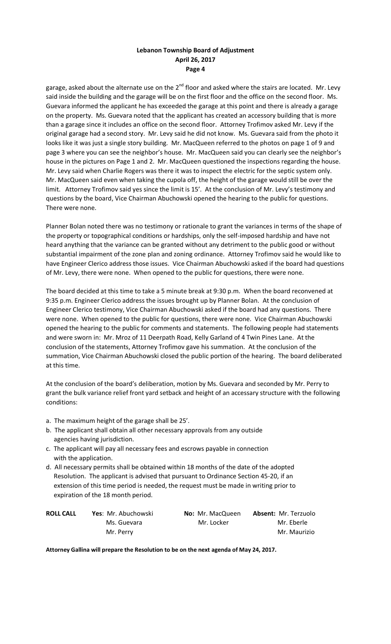garage, asked about the alternate use on the 2<sup>nd</sup> floor and asked where the stairs are located. Mr. Levy said inside the building and the garage will be on the first floor and the office on the second floor. Ms. Guevara informed the applicant he has exceeded the garage at this point and there is already a garage on the property. Ms. Guevara noted that the applicant has created an accessory building that is more than a garage since it includes an office on the second floor. Attorney Trofimov asked Mr. Levy if the original garage had a second story. Mr. Levy said he did not know. Ms. Guevara said from the photo it looks like it was just a single story building. Mr. MacQueen referred to the photos on page 1 of 9 and page 3 where you can see the neighbor's house. Mr. MacQueen said you can clearly see the neighbor's house in the pictures on Page 1 and 2. Mr. MacQueen questioned the inspections regarding the house. Mr. Levy said when Charlie Rogers was there it was to inspect the electric for the septic system only. Mr. MacQueen said even when taking the cupola off, the height of the garage would still be over the limit. Attorney Trofimov said yes since the limit is 15'. At the conclusion of Mr. Levy's testimony and questions by the board, Vice Chairman Abuchowski opened the hearing to the public for questions. There were none.

Planner Bolan noted there was no testimony or rationale to grant the variances in terms of the shape of the property or topographical conditions or hardships, only the self-imposed hardship and have not heard anything that the variance can be granted without any detriment to the public good or without substantial impairment of the zone plan and zoning ordinance. Attorney Trofimov said he would like to have Engineer Clerico address those issues. Vice Chairman Abuchowski asked if the board had questions of Mr. Levy, there were none. When opened to the public for questions, there were none.

The board decided at this time to take a 5 minute break at 9:30 p.m. When the board reconvened at 9:35 p.m. Engineer Clerico address the issues brought up by Planner Bolan. At the conclusion of Engineer Clerico testimony, Vice Chairman Abuchowski asked if the board had any questions. There were none. When opened to the public for questions, there were none. Vice Chairman Abuchowski opened the hearing to the public for comments and statements. The following people had statements and were sworn in: Mr. Mroz of 11 Deerpath Road, Kelly Garland of 4 Twin Pines Lane. At the conclusion of the statements, Attorney Trofimov gave his summation. At the conclusion of the summation, Vice Chairman Abuchowski closed the public portion of the hearing. The board deliberated at this time.

At the conclusion of the board's deliberation, motion by Ms. Guevara and seconded by Mr. Perry to grant the bulk variance relief front yard setback and height of an accessary structure with the following conditions:

- a. The maximum height of the garage shall be 25'.
- b. The applicant shall obtain all other necessary approvals from any outside agencies having jurisdiction.
- c. The applicant will pay all necessary fees and escrows payable in connection with the application.
- d. All necessary permits shall be obtained within 18 months of the date of the adopted Resolution. The applicant is advised that pursuant to Ordinance Section 45-20, if an extension of this time period is needed, the request must be made in writing prior to expiration of the 18 month period.

| <b>ROLL CALL</b> | <b>Yes: Mr. Abuchowski</b> | <b>No:</b> Mr. MacQueen | <b>Absent: Mr. Terzuolo</b> |
|------------------|----------------------------|-------------------------|-----------------------------|
|                  | Ms. Guevara                | Mr. Locker              | Mr. Eberle                  |
|                  | Mr. Perry                  |                         | Mr. Maurizio                |

**Attorney Gallina will prepare the Resolution to be on the next agenda of May 24, 2017.**